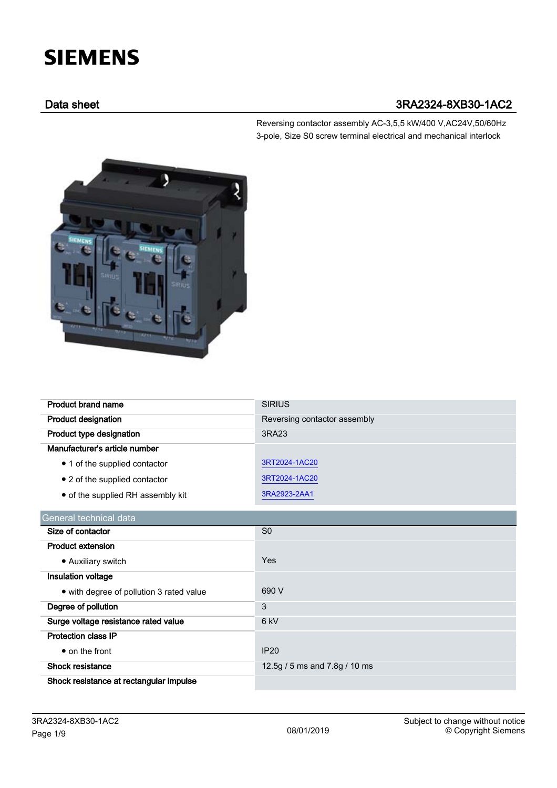# **SIEMENS**

#### Data sheet 3RA2324-8XB30-1AC2

Reversing contactor assembly AC-3,5,5 kW/400 V,AC24V,50/60Hz 3-pole, Size S0 screw terminal electrical and mechanical interlock



| <b>Product brand name</b>         | <b>SIRIUS</b>                |  |  |
|-----------------------------------|------------------------------|--|--|
| <b>Product designation</b>        | Reversing contactor assembly |  |  |
| Product type designation          | 3RA23                        |  |  |
| Manufacturer's article number     |                              |  |  |
| • 1 of the supplied contactor     | 3RT2024-1AC20                |  |  |
| • 2 of the supplied contactor     | 3RT2024-1AC20                |  |  |
| • of the supplied RH assembly kit | 3RA2923-2AA1                 |  |  |
|                                   |                              |  |  |

| General technical data                   |                               |
|------------------------------------------|-------------------------------|
| Size of contactor                        | S <sub>0</sub>                |
| <b>Product extension</b>                 |                               |
| • Auxiliary switch                       | <b>Yes</b>                    |
| Insulation voltage                       |                               |
| • with degree of pollution 3 rated value | 690 V                         |
| Degree of pollution                      | 3                             |
| Surge voltage resistance rated value     | 6 <sub>kV</sub>               |
| <b>Protection class IP</b>               |                               |
| $\bullet$ on the front                   | <b>IP20</b>                   |
| Shock resistance                         | 12.5g / 5 ms and 7.8g / 10 ms |
| Shock resistance at rectangular impulse  |                               |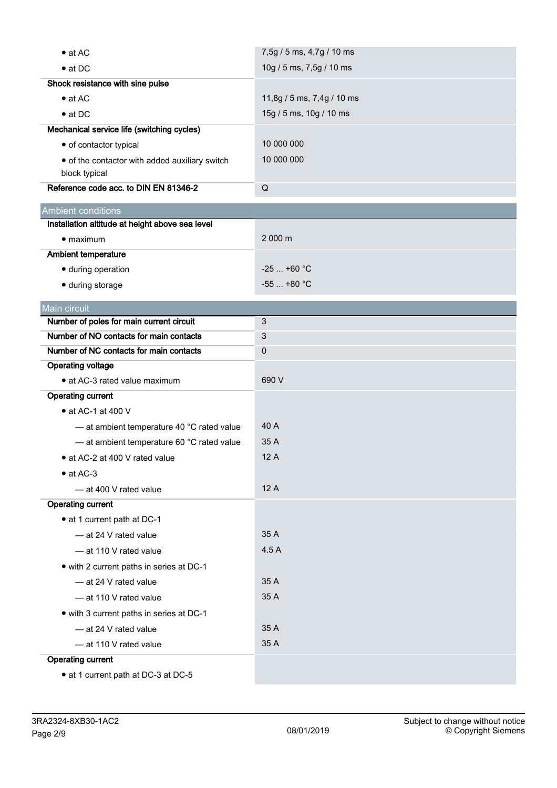| $\bullet$ at AC                                                 | 7,5g / 5 ms, 4,7g / 10 ms  |
|-----------------------------------------------------------------|----------------------------|
| $\bullet$ at DC                                                 | 10g / 5 ms, 7,5g / 10 ms   |
| Shock resistance with sine pulse                                |                            |
| $\bullet$ at AC                                                 | 11,8g / 5 ms, 7,4g / 10 ms |
| $\bullet$ at DC                                                 | 15g / 5 ms, 10g / 10 ms    |
| Mechanical service life (switching cycles)                      |                            |
| • of contactor typical                                          | 10 000 000                 |
| • of the contactor with added auxiliary switch<br>block typical | 10 000 000                 |
| Reference code acc. to DIN EN 81346-2                           | Q                          |
| <b>Ambient conditions</b>                                       |                            |
| Installation altitude at height above sea level                 |                            |
| $\bullet$ maximum                                               | 2 000 m                    |
| <b>Ambient temperature</b>                                      |                            |
| · during operation                                              | $-25$ +60 °C               |
| · during storage                                                | $-55$ $+80$ °C             |
| Main circuit                                                    |                            |
| Number of poles for main current circuit                        | $\mathfrak{S}$             |
| Number of NO contacts for main contacts                         | 3                          |
| Number of NC contacts for main contacts                         | 0                          |
| <b>Operating voltage</b>                                        |                            |
| • at AC-3 rated value maximum                                   | 690 V                      |
| <b>Operating current</b>                                        |                            |
| $\bullet$ at AC-1 at 400 V                                      |                            |
| - at ambient temperature 40 °C rated value                      | 40 A                       |
| - at ambient temperature 60 °C rated value                      | 35 A                       |
| • at AC-2 at 400 V rated value                                  | 12 A                       |
| $\bullet$ at AC-3                                               |                            |
| - at 400 V rated value                                          | 12 A                       |
| <b>Operating current</b>                                        |                            |
| • at 1 current path at DC-1                                     |                            |
| - at 24 V rated value                                           | 35 A                       |
| - at 110 V rated value                                          | 4.5A                       |
| • with 2 current paths in series at DC-1                        |                            |
| - at 24 V rated value                                           | 35 A                       |
| - at 110 V rated value                                          | 35 A                       |
| • with 3 current paths in series at DC-1                        |                            |
| - at 24 V rated value                                           | 35 A                       |
| - at 110 V rated value                                          | 35 A                       |
| <b>Operating current</b>                                        |                            |
| • at 1 current path at DC-3 at DC-5                             |                            |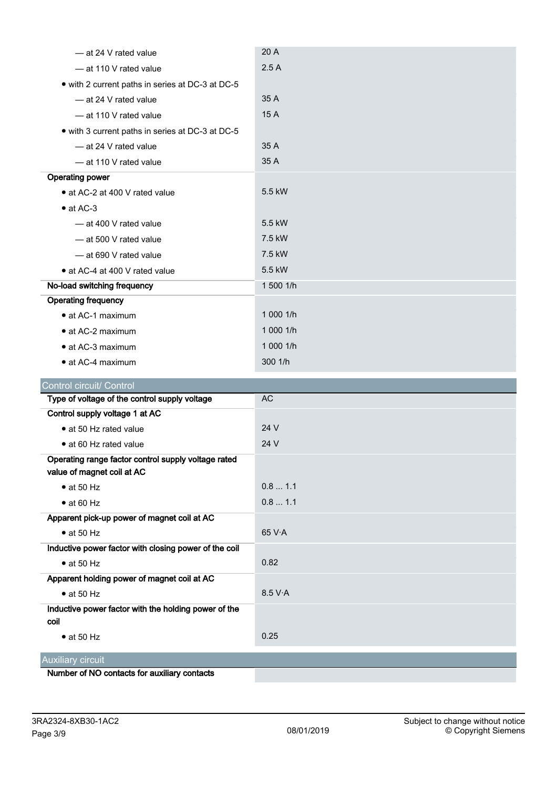| -at 24 V rated value                                                              | 20 A      |
|-----------------------------------------------------------------------------------|-----------|
| - at 110 V rated value                                                            | 2.5A      |
|                                                                                   |           |
| • with 2 current paths in series at DC-3 at DC-5<br>-at 24 V rated value          | 35 A      |
|                                                                                   | 15 A      |
| - at 110 V rated value                                                            |           |
| • with 3 current paths in series at DC-3 at DC-5                                  |           |
| - at 24 V rated value                                                             | 35 A      |
| - at 110 V rated value                                                            | 35 A      |
| <b>Operating power</b>                                                            |           |
| • at AC-2 at 400 V rated value                                                    | 5.5 kW    |
| $\bullet$ at AC-3                                                                 |           |
| - at 400 V rated value                                                            | 5.5 kW    |
| - at 500 V rated value                                                            | 7.5 kW    |
| - at 690 V rated value                                                            | 7.5 kW    |
| • at AC-4 at 400 V rated value                                                    | 5.5 kW    |
| No-load switching frequency                                                       | 1 500 1/h |
| <b>Operating frequency</b>                                                        |           |
| • at AC-1 maximum                                                                 | 1 000 1/h |
| • at AC-2 maximum                                                                 | 1 000 1/h |
| • at AC-3 maximum                                                                 | 1 000 1/h |
|                                                                                   |           |
| • at AC-4 maximum                                                                 | 300 1/h   |
|                                                                                   |           |
| Control circuit/ Control                                                          | <b>AC</b> |
| Type of voltage of the control supply voltage<br>Control supply voltage 1 at AC   |           |
| • at 50 Hz rated value                                                            | 24 V      |
| • at 60 Hz rated value                                                            | 24 V      |
|                                                                                   |           |
| Operating range factor control supply voltage rated<br>value of magnet coil at AC |           |
| $\bullet$ at 50 Hz                                                                | 0.8 1.1   |
| $\bullet$ at 60 Hz                                                                | 0.8 1.1   |
| Apparent pick-up power of magnet coil at AC                                       |           |
| $\bullet$ at 50 Hz                                                                | 65 V·A    |
| Inductive power factor with closing power of the coil                             |           |
| $\bullet$ at 50 Hz                                                                | 0.82      |
| Apparent holding power of magnet coil at AC                                       |           |
| $\bullet$ at 50 Hz                                                                | 8.5 V·A   |
| Inductive power factor with the holding power of the                              |           |
| coil                                                                              |           |
| $\bullet$ at 50 Hz                                                                | 0.25      |

#### Auxiliary circuit

Number of NO contacts for auxiliary contacts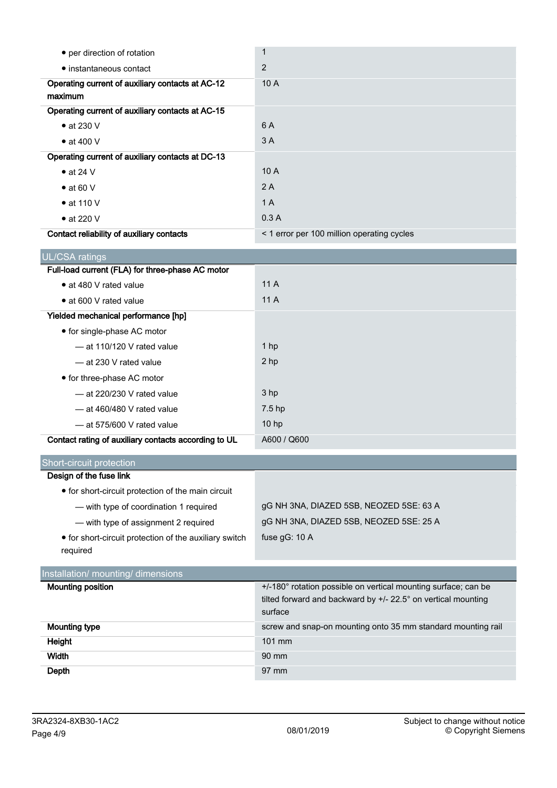| • per direction of rotation                                 | $\mathbf{1}$                               |
|-------------------------------------------------------------|--------------------------------------------|
| • instantaneous contact                                     | 2                                          |
| Operating current of auxiliary contacts at AC-12<br>maximum | 10A                                        |
| Operating current of auxiliary contacts at AC-15            |                                            |
| $\bullet$ at 230 V                                          | 6 A                                        |
| $\bullet$ at 400 V                                          | 3 A                                        |
| Operating current of auxiliary contacts at DC-13            |                                            |
| $\bullet$ at 24 V                                           | 10A                                        |
| $\bullet$ at 60 V                                           | 2 A                                        |
| $\bullet$ at 110 V                                          | 1 A                                        |
| $\bullet$ at 220 V                                          | 0.3A                                       |
| Contact reliability of auxiliary contacts                   | < 1 error per 100 million operating cycles |

| <b>UL/CSA ratings</b>                                |                   |
|------------------------------------------------------|-------------------|
| Full-load current (FLA) for three-phase AC motor     |                   |
| • at 480 V rated value                               | 11A               |
| • at 600 V rated value                               | 11A               |
| Yielded mechanical performance [hp]                  |                   |
| • for single-phase AC motor                          |                   |
| $-$ at 110/120 V rated value                         | 1 hp              |
| - at 230 V rated value                               | 2 hp              |
| • for three-phase AC motor                           |                   |
| $-$ at 220/230 V rated value                         | 3 hp              |
| $-$ at 460/480 V rated value                         | 7.5 <sub>hp</sub> |
| - at 575/600 V rated value                           | 10 <sub>hp</sub>  |
| Contact rating of auxiliary contacts according to UL | A600 / Q600       |

## Short-circuit protection

### Design of the fuse link

| • for short-circuit protection of the main circuit     |                                         |
|--------------------------------------------------------|-----------------------------------------|
| - with type of coordination 1 required                 | gG NH 3NA, DIAZED 5SB, NEOZED 5SE: 63 A |
| — with type of assignment 2 required                   | gG NH 3NA, DIAZED 5SB, NEOZED 5SE: 25 A |
| • for short-circuit protection of the auxiliary switch | fuse $qG: 10 A$                         |
| required                                               |                                         |

| Installation/ mounting/ dimensions |                                                                |  |  |  |
|------------------------------------|----------------------------------------------------------------|--|--|--|
| <b>Mounting position</b>           | +/-180° rotation possible on vertical mounting surface; can be |  |  |  |
|                                    | tilted forward and backward by +/- 22.5° on vertical mounting  |  |  |  |
|                                    | surface                                                        |  |  |  |
| Mounting type                      | screw and snap-on mounting onto 35 mm standard mounting rail   |  |  |  |
| Height                             | $101$ mm                                                       |  |  |  |
| Width                              | 90 mm                                                          |  |  |  |
| Depth                              | 97 mm                                                          |  |  |  |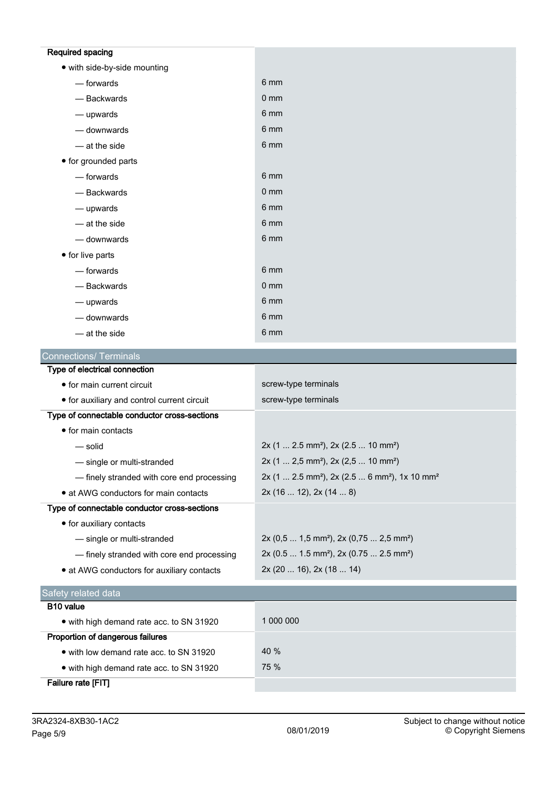| Required spacing             |                 |
|------------------------------|-----------------|
| • with side-by-side mounting |                 |
| - forwards                   | 6 mm            |
| - Backwards                  | $0 \text{ mm}$  |
| - upwards                    | 6 mm            |
| - downwards                  | 6 mm            |
| - at the side                | 6 mm            |
| • for grounded parts         |                 |
| - forwards                   | 6 mm            |
| - Backwards                  | 0 <sub>mm</sub> |
| - upwards                    | 6 mm            |
| - at the side                | 6 mm            |
| - downwards                  | 6 mm            |
| • for live parts             |                 |
| - forwards                   | 6 mm            |
| - Backwards                  | 0 <sub>mm</sub> |
| - upwards                    | 6 mm            |
| - downwards                  | 6 mm            |
| - at the side                | 6 mm            |

#### Connections/ Terminals

| Type of electrical connection                |                                                                                   |  |
|----------------------------------------------|-----------------------------------------------------------------------------------|--|
| • for main current circuit                   | screw-type terminals                                                              |  |
| • for auxiliary and control current circuit  | screw-type terminals                                                              |  |
| Type of connectable conductor cross-sections |                                                                                   |  |
| • for main contacts                          |                                                                                   |  |
| — solid                                      | $2x$ (1  2.5 mm <sup>2</sup> ), $2x$ (2.5  10 mm <sup>2</sup> )                   |  |
| - single or multi-stranded                   | $2x$ (1  2,5 mm <sup>2</sup> ), $2x$ (2,5  10 mm <sup>2</sup> )                   |  |
| - finely stranded with core end processing   | 2x (1  2.5 mm <sup>2</sup> ), 2x (2.5  6 mm <sup>2</sup> ), 1x 10 mm <sup>2</sup> |  |
| • at AWG conductors for main contacts        | 2x(1612), 2x(148)                                                                 |  |
| Type of connectable conductor cross-sections |                                                                                   |  |
| • for auxiliary contacts                     |                                                                                   |  |
| - single or multi-stranded                   | $2x (0,5  1,5 mm2)$ , $2x (0,75  2,5 mm2)$                                        |  |
| - finely stranded with core end processing   | $2x (0.5  1.5 mm2)$ , $2x (0.75  2.5 mm2)$                                        |  |
| • at AWG conductors for auxiliary contacts   | 2x(2016), 2x(1814)                                                                |  |
| Safety related data                          |                                                                                   |  |
| B <sub>10</sub> value                        |                                                                                   |  |
| • with high demand rate acc. to SN 31920     | 1 000 000                                                                         |  |
| Proportion of dangerous failures             |                                                                                   |  |
| • with low demand rate acc. to SN 31920      | 40 %                                                                              |  |
| • with high demand rate acc. to SN 31920     | 75 %                                                                              |  |
| Failure rate [FIT]                           |                                                                                   |  |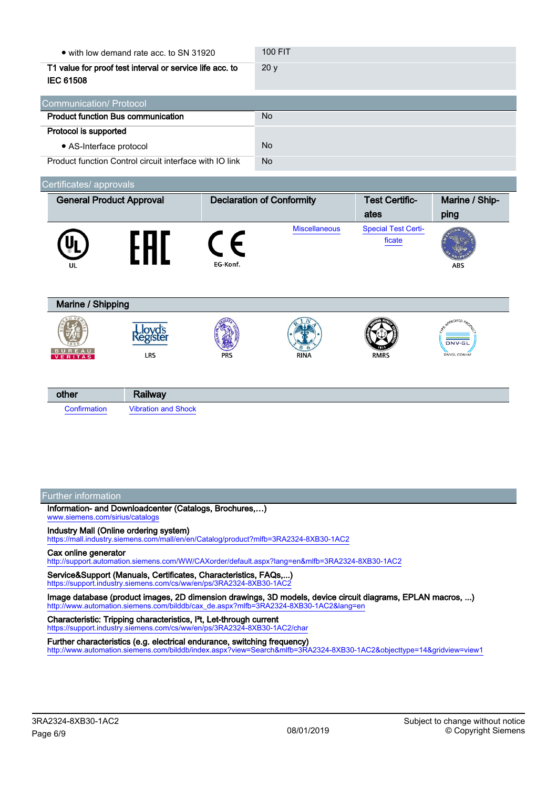| • with low demand rate acc. to SN 31920                                      | 100 FIT        |
|------------------------------------------------------------------------------|----------------|
| T1 value for proof test interval or service life acc. to<br><b>IEC 61508</b> | 20y            |
| <b>Communication/Protocol</b>                                                |                |
| <b>Product function Bus communication</b>                                    | N <sub>o</sub> |
| Protocol is supported                                                        |                |
| • AS-Interface protocol                                                      | <b>No</b>      |
| Product function Control circuit interface with IO link                      | No.            |

| Certificates/ approvals         |                               |                                  |                      |                                              |                                          |
|---------------------------------|-------------------------------|----------------------------------|----------------------|----------------------------------------------|------------------------------------------|
| <b>General Product Approval</b> |                               | <b>Declaration of Conformity</b> |                      | <b>Test Certific-</b>                        | Marine / Ship-                           |
| UL                              |                               | $\in$<br>EG-Konf.                | <b>Miscellaneous</b> | ates<br><b>Special Test Certi-</b><br>ficate | ping<br><b>ABS</b>                       |
| Marine / Shipping               |                               |                                  |                      |                                              |                                          |
| <b>BUREAU</b><br><b>VERITAS</b> | <b>Tegister</b><br><b>LRS</b> | <b>PRS</b>                       | <b>RINA</b>          | <b>RMRS</b>                                  | opROVED<br><b>DNV·GL</b><br>DNVGL.COM/AF |
| other                           | Railway                       |                                  |                      |                                              |                                          |
| Confirmation                    | <b>Vibration and Shock</b>    |                                  |                      |                                              |                                          |

Further information

Information- and Downloadcenter (Catalogs, Brochures,…) <www.siemens.com/sirius/catalogs>

Industry Mall (Online ordering system)

<https://mall.industry.siemens.com/mall/en/en/Catalog/product?mlfb=3RA2324-8XB30-1AC2>

Cax online generator

<http://support.automation.siemens.com/WW/CAXorder/default.aspx?lang=en&mlfb=3RA2324-8XB30-1AC2>

Service&Support (Manuals, Certificates, Characteristics, FAQs,...) <https://support.industry.siemens.com/cs/ww/en/ps/3RA2324-8XB30-1AC2>

Image database (product images, 2D dimension drawings, 3D models, device circuit diagrams, EPLAN macros, ...) [http://www.automation.siemens.com/bilddb/cax\\_de.aspx?mlfb=3RA2324-8XB30-1AC2&lang=en](http://www.automation.siemens.com/bilddb/cax_de.aspx?mlfb=3RA2324-8XB30-1AC2&lang=en)

Characteristic: Tripping characteristics, I²t, Let-through current <https://support.industry.siemens.com/cs/ww/en/ps/3RA2324-8XB30-1AC2/char>

Further characteristics (e.g. electrical endurance, switching frequency) <http://www.automation.siemens.com/bilddb/index.aspx?view=Search&mlfb=3RA2324-8XB30-1AC2&objecttype=14&gridview=view1>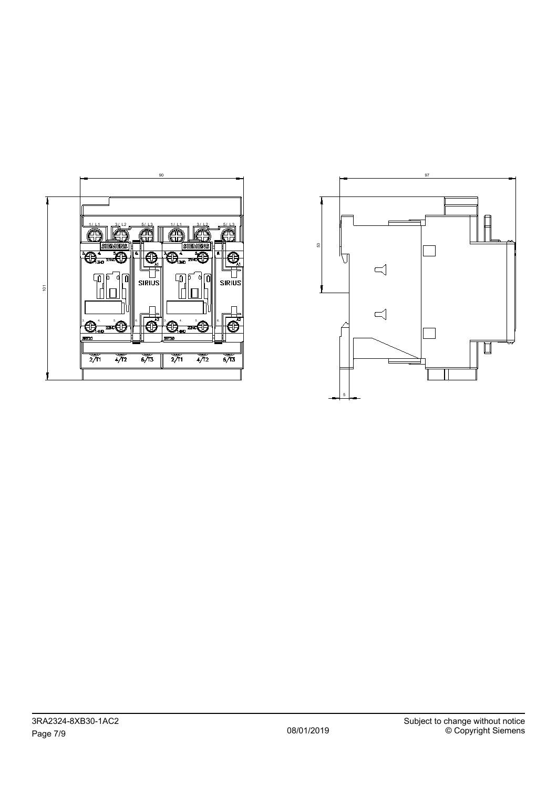

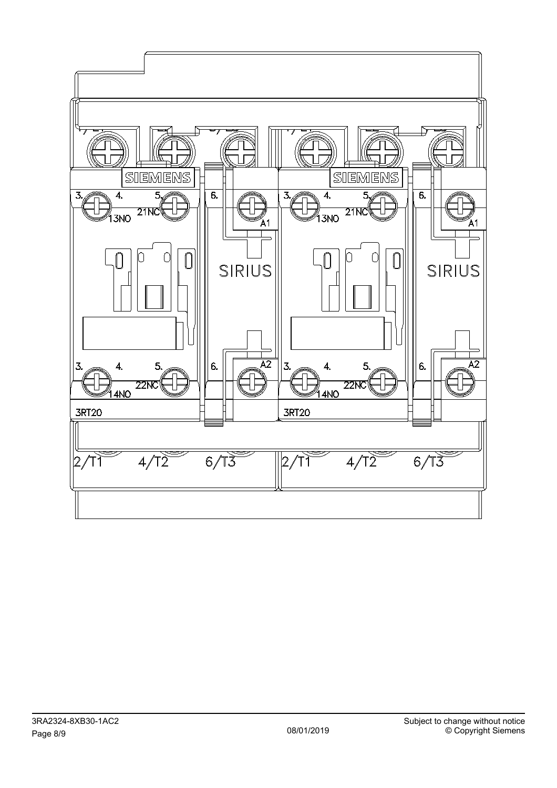